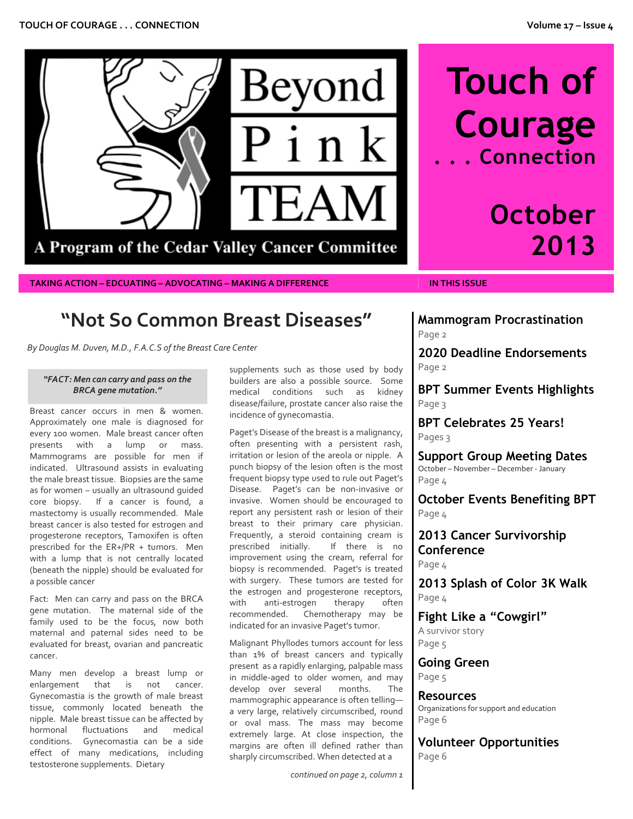

**TAKING ACTION – EDCUATING – ADVOCATING – MAKING A DIFFERENCE IN THIS ISSUE**

# **Touch of Courage . . . Connection**

# **October 2013**

## **"Not So Common Breast Diseases"**

*By Douglas M. Duven, M.D., F.A.C.S of the Breast Care Center*

#### *"FACT: Men can carry and pass on the BRCA gene mutation."*

Breast cancer occurs in men & women. Approximately one male is diagnosed for every 100 women. Male breast cancer often presents with a lump or mass. Mammograms are possible for men if indicated. Ultrasound assists in evaluating the male breast tissue. Biopsies are the same as for women – usually an ultrasound guided core biopsy. If a cancer is found, a mastectomy is usually recommended. Male breast cancer is also tested for estrogen and progesterone receptors, Tamoxifen is often prescribed for the ER+/PR + tumors. Men with a lump that is not centrally located (beneath the nipple) should be evaluated for a possible cancer

Fact: Men can carry and pass on the BRCA gene mutation. The maternal side of the family used to be the focus, now both maternal and paternal sides need to be evaluated for breast, ovarian and pancreatic cancer.

Many men develop a breast lump or enlargement that is not cancer. Gynecomastia is the growth of male breast tissue, commonly located beneath the nipple. Male breast tissue can be affected by hormonal fluctuations and medical conditions. Gynecomastia can be a side effect of many medications, including testosterone supplements. Dietary

supplements such as those used by body builders are also a possible source. Some medical conditions such as kidney disease/failure, prostate cancer also raise the incidence of gynecomastia.

Paget's Disease of the breast is a malignancy, often presenting with a persistent rash, irritation or lesion of the areola or nipple. A punch biopsy of the lesion often is the most frequent biopsy type used to rule out Paget's Disease. Paget's can be non-invasive or invasive. Women should be encouraged to report any persistent rash or lesion of their breast to their primary care physician. Frequently, a steroid containing cream is prescribed initially. If there is no improvement using the cream, referral for biopsy is recommended. Paget's is treated with surgery. These tumors are tested for the estrogen and progesterone receptors, with anti-estrogen therapy often recommended. Chemotherapy may be indicated for an invasive Paget's tumor.

Malignant Phyllodes tumors account for less than 1% of breast cancers and typically present as a rapidly enlarging, palpable mass in middle-aged to older women, and may develop over several months. The mammographic appearance is often telling a very large, relatively circumscribed, round or oval mass. The mass may become extremely large. At close inspection, the margins are often ill defined rather than sharply circumscribed. When detected at a

*continued on page 2, column 1*

**Mammogram Procrastination** Page 2

**2020 Deadline Endorsements** Page 2

**BPT Summer Events Highlights** Page 3

**BPT Celebrates 25 Years!** Pages 3

**Support Group Meeting Dates** October – November – December - January Page 4

**October Events Benefiting BPT** Page 4

**2013 Cancer Survivorship Conference** Page 4

**2013 Splash of Color 3K Walk** Page 4

**Fight Like a "Cowgirl"** A survivor story Page 5

**Going Green** Page 5

**Resources** Organizations for support and education Page 6

**Volunteer Opportunities** Page 6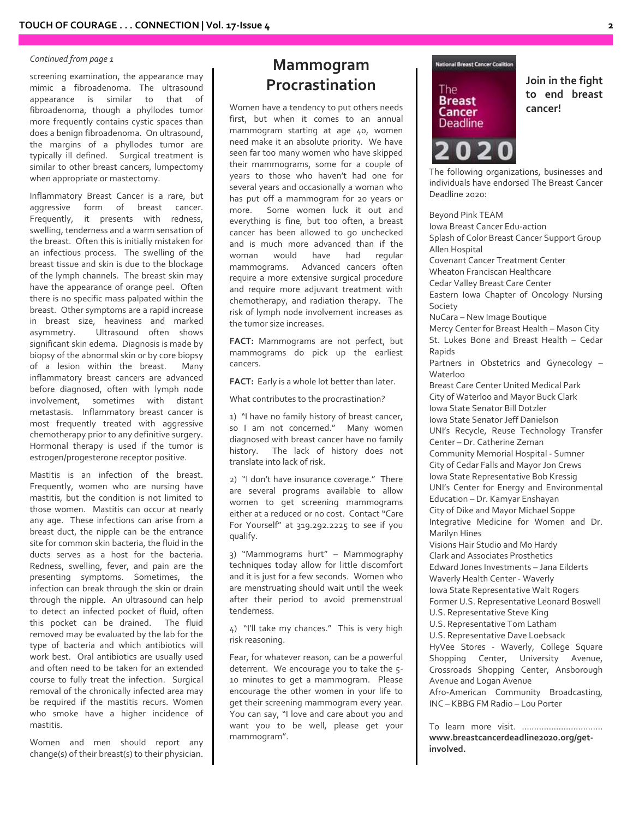#### *Continued from page 1*

screening examination, the appearance may mimic a fibroadenoma. The ultrasound appearance is similar to that of fibroadenoma, though a phyllodes tumor more frequently contains cystic spaces than does a benign fibroadenoma. On ultrasound, the margins of a phyllodes tumor are typically ill defined. Surgical treatment is similar to other breast cancers, lumpectomy when appropriate or mastectomy.

Inflammatory Breast Cancer is a rare, but aggressive form of breast cancer. Frequently, it presents with redness, swelling, tenderness and a warm sensation of the breast. Often this is initially mistaken for an infectious process. The swelling of the breast tissue and skin is due to the blockage of the lymph channels. The breast skin may have the appearance of orange peel. Often there is no specific mass palpated within the breast. Other symptoms are a rapid increase in breast size, heaviness and marked asymmetry. Ultrasound often shows significant skin edema. Diagnosis is made by biopsy of the abnormal skin or by core biopsy<br>of a lesion within the breast. Many of a lesion within the breast. inflammatory breast cancers are advanced before diagnosed, often with lymph node involvement, sometimes with distant metastasis. Inflammatory breast cancer is most frequently treated with aggressive chemotherapy prior to any definitive surgery. Hormonal therapy is used if the tumor is estrogen/progesterone receptor positive.

Mastitis is an infection of the breast. Frequently, women who are nursing have mastitis, but the condition is not limited to those women. Mastitis can occur at nearly any age. These infections can arise from a breast duct, the nipple can be the entrance site for common skin bacteria, the fluid in the ducts serves as a host for the bacteria. Redness, swelling, fever, and pain are the presenting symptoms. Sometimes, the infection can break through the skin or drain through the nipple. An ultrasound can help to detect an infected pocket of fluid, often this pocket can be drained. The fluid removed may be evaluated by the lab for the type of bacteria and which antibiotics will work best. Oral antibiotics are usually used and often need to be taken for an extended course to fully treat the infection. Surgical removal of the chronically infected area may be required if the mastitis recurs. Women who smoke have a higher incidence of mastitis.

Women and men should report any change(s) of their breast(s) to their physician.

### **Mammogram Procrastination**

Women have a tendency to put others needs first, but when it comes to an annual mammogram starting at age 40, women need make it an absolute priority. We have seen far too many women who have skipped their mammograms, some for a couple of years to those who haven't had one for several years and occasionally a woman who has put off a mammogram for 20 years or more. Some women luck it out and everything is fine, but too often, a breast cancer has been allowed to go unchecked and is much more advanced than if the woman would have had regular mammograms. Advanced cancers often require a more extensive surgical procedure and require more adjuvant treatment with chemotherapy, and radiation therapy. The risk of lymph node involvement increases as the tumor size increases.

**FACT:** Mammograms are not perfect, but mammograms do pick up the earliest cancers.

**FACT:** Early is a whole lot better than later.

What contributes to the procrastination?

1) "I have no family history of breast cancer, so I am not concerned." Many women diagnosed with breast cancer have no family history. The lack of history does not translate into lack of risk.

2) "I don't have insurance coverage." There are several programs available to allow women to get screening mammograms either at a reduced or no cost. Contact "Care For Yourself" at 319.292.2225 to see if you qualify.

3) "Mammograms hurt" – Mammography techniques today allow for little discomfort and it is just for a few seconds. Women who are menstruating should wait until the week after their period to avoid premenstrual tenderness.

4) "I'll take my chances." This is very high risk reasoning.

Fear, for whatever reason, can be a powerful deterrent. We encourage you to take the 5- 10 minutes to get a mammogram. Please encourage the other women in your life to get their screening mammogram every year. You can say, "I love and care about you and want you to be well, please get your mammogram".



**Join in the fight to end breast cancer!**

The following organizations, businesses and individuals have endorsed The Breast Cancer Deadline 2020:

Beyond Pink TEAM Iowa Breast Cancer Edu-action Splash of Color Breast Cancer Support Group Allen Hospital Covenant Cancer Treatment Center Wheaton Franciscan Healthcare Cedar Valley Breast Care Center Eastern Iowa Chapter of Oncology Nursing Society NuCara – New Image Boutique Mercy Center for Breast Health – Mason City St. Lukes Bone and Breast Health – Cedar Rapids Partners in Obstetrics and Gynecology – Waterloo Breast Care Center United Medical Park City of Waterloo and Mayor Buck Clark Iowa State Senator Bill Dotzler Iowa State Senator Jeff Danielson UNI's Recycle, Reuse Technology Transfer Center – Dr. Catherine Zeman Community Memorial Hospital - Sumner City of Cedar Falls and Mayor Jon Crews Iowa State Representative Bob Kressig UNI's Center for Energy and Environmental Education – Dr. Kamyar Enshayan City of Dike and Mayor Michael Soppe Integrative Medicine for Women and Dr. Marilyn Hines Visions Hair Studio and Mo Hardy Clark and Associates Prosthetics Edward Jones Investments – Jana Eilderts Waverly Health Center - Waverly Iowa State Representative Walt Rogers Former U.S. Representative Leonard Boswell U.S. Representative Steve King U.S. Representative Tom Latham U.S. Representative Dave Loebsack

HyVee Stores - Waverly, College Square Shopping Center, University Avenue, Crossroads Shopping Center, Ansborough Avenue and Logan Avenue

Afro-American Community Broadcasting, INC – KBBG FM Radio – Lou Porter

To learn more visit. …………………………… **www.breastcancerdeadline2020.org/getinvolved.**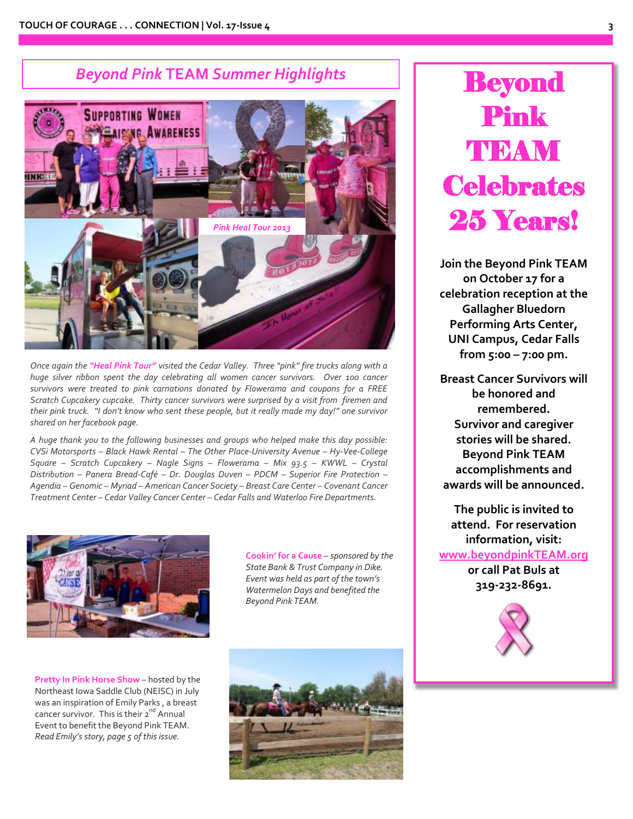### *Beyond Pink* **TEAM** *Summer Highlights*



*Once again the "Heal Pink Tour" visited the Cedar Valley. Three "pink" fire trucks along with a huge silver ribbon spent the day celebrating all women cancer survivors. Over 100 cancer survivors were treated to pink carnations donated by Flowerama and coupons for a FREE Scratch Cupcakery cupcake. Thirty cancer survivors were surprised by a visit from firemen and their pink truck. "I don't know who sent these people, but it really made my day!" one survivor shared on her facebook page.*

*A huge thank you to the following businesses and groups who helped make this day possible: CVSi Motorsports – Black Hawk Rental – The Other Place-University Avenue – Hy-Vee-College Square – Scratch Cupcakery – Nagle Signs – Flowerama – Mix 93.5 – KWWL – Crystal Distribution – Panera Bread-Café – Dr. Douglas Duven – PDCM – Superior Fire Protection – Agendia – Genomic – Myriad – American Cancer Society – Breast Care Center – Covenant Cancer Treatment Center – Cedar Valley Cancer Center – Cedar Falls and Waterloo Fire Departments.*



**Cookin' for a Cause** *– sponsored by the State Bank & Trust Company in Dike. Event was held as part of the town's Watermelon Days and benefited the Beyond Pink TEAM.*

**Pretty In Pink Horse Show** – hosted by the Northeast Iowa Saddle Club (NEISC) in July was an inspiration of Emily Parks , a breast cancer survivor. This is their 2<sup>nd</sup> Annual Event to benefit the Beyond Pink TEAM. *Read Emily's story, page 5 of this issue.*



# **Beyond** Pink TIBAM **Celebrates** 25 Years!

**Join the Beyond Pink TEAM on October 17 for a celebration reception at the Gallagher Bluedorn Performing Arts Center, UNI Campus, Cedar Falls from 5:00 – 7:00 pm.**

**Breast Cancer Survivors will be honored and remembered. Survivor and caregiver stories will be shared. Beyond Pink TEAM accomplishments and awards will be announced.**

**The public is invited to attend. For reservation information, visit: [www.beyondpinkTEAM.org](http://www.beyondpinkteam.org/) or call Pat Buls at 319-232-8691.**

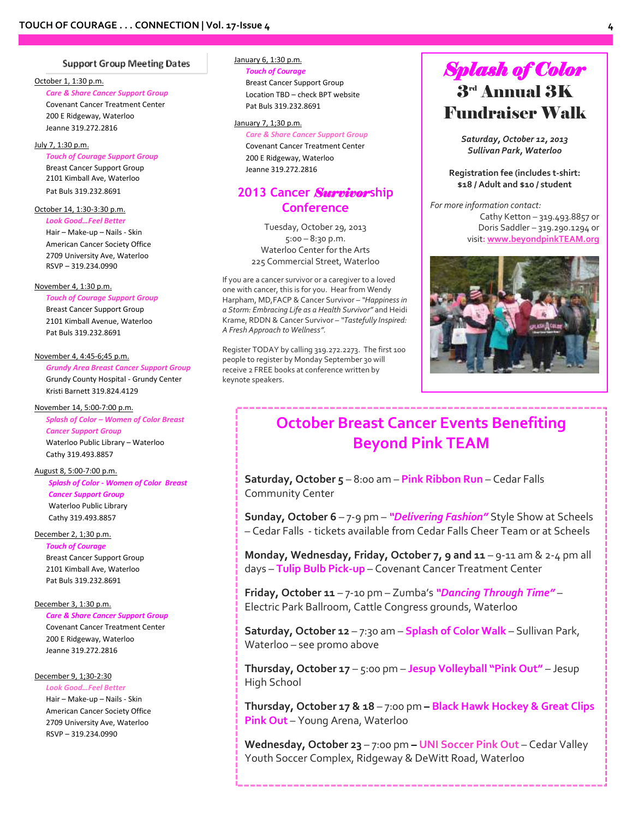#### Support Group Meeting Dates

#### October 1, 1:30 p.m.

*Care & Share Cancer Support Group* Covenant Cancer Treatment Center 200 E Ridgeway, Waterloo Jeanne 319.272.2816

#### July 7, 1:30 p.m.

*Touch of Courage Support Group* Breast Cancer Support Group 2101 Kimball Ave, Waterloo Pat Buls 319.232.8691

#### October 14, 1:30-3:30 p.m. *Look Good…Feel Better*

Hair – Make-up – Nails - Skin American Cancer Society Office 2709 University Ave, Waterloo RSVP – 319.234.0990

#### November 4, 1:30 p.m.

*Touch of Courage Support Group* Breast Cancer Support Group 2101 Kimball Avenue, Waterloo Pat Buls 319.232.8691

#### November 4, 4:45-6;45 p.m.

*Grundy Area Breast Cancer Support Group* Grundy County Hospital - Grundy Center Kristi Barnett 319.824.4129

#### November 14, 5:00-7:00 p.m.

*Splash of Color – Women of Color Breast*

*Cancer Support Group* Waterloo Public Library – Waterloo Cathy 319.493.8857

#### August 8, 5:00-7:00 p.m.

*Splash of Color - Women of Color Breast Cancer Support Group* Waterloo Public Library Cathy 319.493.8857

#### December 2, 1;30 p.m.

*Touch of Courage* Breast Cancer Support Group 2101 Kimball Ave, Waterloo Pat Buls 319.232.8691

#### December 3, 1:30 p.m.

*Care & Share Cancer Support Group* Covenant Cancer Treatment Center 200 E Ridgeway, Waterloo Jeanne 319.272.2816

#### December 9, 1;30-2:30

*Look Good…Feel Better* Hair – Make-up – Nails - Skin American Cancer Society Office 2709 University Ave, Waterloo RSVP – 319.234.0990

#### January 6, 1:30 p.m.

*Touch of Courage* Breast Cancer Support Group Location TBD – check BPT website Pat Buls 319.232.8691

#### January 7, 1;30 p.m.

*Care & Share Cancer Support Group* Covenant Cancer Treatment Center 200 E Ridgeway, Waterloo Jeanne 319.272.2816

### **2013 Cancer** *Survivor***ship Conference**

Tuesday, October 29, 2013 5:00 – 8:30 p.m. Waterloo Center for the Arts 225 Commercial Street, Waterloo

If you are a cancer survivor or a caregiver to a loved one with cancer, this is for you. Hear from Wendy Harpham, MD,FACP & Cancer Survivor – *"Happiness in a Storm: Embracing Life as a Health Survivor"* and Heidi Krame, RDDN & Cancer Survivor – *"Tastefully Inspired: A Fresh Approach to Wellness".*

Register TODAY by calling 319.272.2273. The first 100 people to register by Monday September 30 will receive 2 FREE books at conference written by keynote speakers.

### *Splash of Color*  $3^{\scriptscriptstyle \rm rd}$  Annual  $3{\rm K}$ Fundraiser Walk

*Saturday, October 12, 2013 Sullivan Park, Waterloo*

**Registration fee (includes t-shirt: \$18 / Adult and \$10 / student**

*For more information contact:* Cathy Ketton – 319.493.8857 or Doris Saddler – 319.290.1294 or visit**[: www.beyondpinkTEAM.org](http://www.beyondpinkteam.org/)**



### **October Breast Cancer Events Benefiting Beyond Pink TEAM**

**Saturday, October 5** – 8:00 am – **Pink Ribbon Run** – Cedar Falls Community Center

**Sunday, October 6** – 7-9 pm – *"Delivering Fashion"* Style Show at Scheels – Cedar Falls - tickets available from Cedar Falls Cheer Team or at Scheels

**Monday, Wednesday, Friday, October 7, 9 and 11** – 9-11 am & 2-4 pm all days – **Tulip Bulb Pick-up** – Covenant Cancer Treatment Center

**Friday, October 11** – 7-10 pm – Zumba's *"Dancing Through Time"* – Electric Park Ballroom, Cattle Congress grounds, Waterloo

**Saturday, October 12** – 7:30 am – **Splash of Color Walk** – Sullivan Park, Waterloo – see promo above

**Thursday, October 17** – 5:00 pm – **Jesup Volleyball "Pink Out"** – Jesup High School

**Thursday, October 17 & 18** – 7:00 pm **– Black Hawk Hockey & Great Clips Pink Out** – Young Arena, Waterloo

**Wednesday, October 23** – 7:00 pm **– UNI Soccer Pink Out** – Cedar Valley Youth Soccer Complex, Ridgeway & DeWitt Road, Waterloo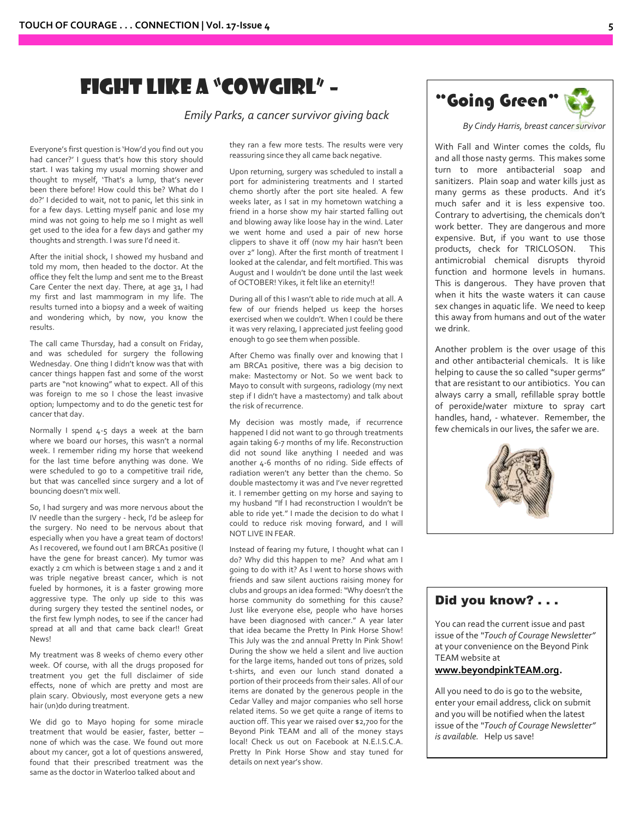### Fight Like a "CowgirL" –

*Emily Parks, a cancer survivor giving back*

Everyone's first question is 'How'd you find out you had cancer?' I guess that's how this story should start. I was taking my usual morning shower and thought to myself, 'That's a lump, that's never been there before! How could this be? What do I do?' I decided to wait, not to panic, let this sink in for a few days. Letting myself panic and lose my mind was not going to help me so I might as well get used to the idea for a few days and gather my thoughts and strength. I was sure I'd need it.

After the initial shock, I showed my husband and told my mom, then headed to the doctor. At the office they felt the lump and sent me to the Breast Care Center the next day. There, at age 31, I had my first and last mammogram in my life. The results turned into a biopsy and a week of waiting and wondering which, by now, you know the results.

The call came Thursday, had a consult on Friday, and was scheduled for surgery the following Wednesday. One thing I didn't know was that with cancer things happen fast and some of the worst parts are "not knowing" what to expect. All of this was foreign to me so I chose the least invasive option; lumpectomy and to do the genetic test for cancer that day.

Normally I spend 4-5 days a week at the barn where we board our horses, this wasn't a normal week. I remember riding my horse that weekend for the last time before anything was done. We were scheduled to go to a competitive trail ride, but that was cancelled since surgery and a lot of bouncing doesn't mix well.

So, I had surgery and was more nervous about the IV needle than the surgery - heck, I'd be asleep for the surgery. No need to be nervous about that especially when you have a great team of doctors! As I recovered, we found out I am BRCA1 positive (I have the gene for breast cancer). My tumor was exactly 2 cm which is between stage 1 and 2 and it was triple negative breast cancer, which is not fueled by hormones, it is a faster growing more aggressive type. The only up side to this was during surgery they tested the sentinel nodes, or the first few lymph nodes, to see if the cancer had spread at all and that came back clear!! Great News!

My treatment was 8 weeks of chemo every other week. Of course, with all the drugs proposed for treatment you get the full disclaimer of side effects, none of which are pretty and most are plain scary. Obviously, most everyone gets a new hair (un)do during treatment.

We did go to Mayo hoping for some miracle treatment that would be easier, faster, better – none of which was the case. We found out more about my cancer, got a lot of questions answered, found that their prescribed treatment was the same as the doctor in Waterloo talked about and

they ran a few more tests. The results were very reassuring since they all came back negative.

Upon returning, surgery was scheduled to install a port for administering treatments and I started chemo shortly after the port site healed. A few weeks later, as I sat in my hometown watching a friend in a horse show my hair started falling out and blowing away like loose hay in the wind. Later we went home and used a pair of new horse clippers to shave it off (now my hair hasn't been over 2" long). After the first month of treatment I looked at the calendar, and felt mortified. This was August and I wouldn't be done until the last week of OCTOBER! Yikes, it felt like an eternity!!

During all of this I wasn't able to ride much at all. A few of our friends helped us keep the horses exercised when we couldn't. When I could be there it was very relaxing, I appreciated just feeling good enough to go see them when possible.

After Chemo was finally over and knowing that I am BRCA1 positive, there was a big decision to make: Mastectomy or Not. So we went back to Mayo to consult with surgeons, radiology (my next step if I didn't have a mastectomy) and talk about the risk of recurrence.

My decision was mostly made, if recurrence happened I did not want to go through treatments again taking 6-7 months of my life. Reconstruction did not sound like anything I needed and was another 4-6 months of no riding. Side effects of radiation weren't any better than the chemo. So double mastectomy it was and I've never regretted it. I remember getting on my horse and saying to my husband "If I had reconstruction I wouldn't be able to ride yet." I made the decision to do what I could to reduce risk moving forward, and I will NOT LIVE IN FEAR.

Instead of fearing my future, I thought what can I do? Why did this happen to me? And what am I going to do with it? As I went to horse shows with friends and saw silent auctions raising money for clubs and groups an idea formed: "Why doesn't the horse community do something for this cause? Just like everyone else, people who have horses have been diagnosed with cancer." A year later that idea became the Pretty In Pink Horse Show! This July was the 2nd annual Pretty In Pink Show! During the show we held a silent and live auction for the large items, handed out tons of prizes, sold t-shirts, and even our lunch stand donated a portion of their proceeds from their sales. All of our items are donated by the generous people in the Cedar Valley and major companies who sell horse related items. So we get quite a range of items to auction off. This year we raised over \$2,700 for the Beyond Pink TEAM and all of the money stays local! Check us out on Facebook at N.E.I.S.C.A. Pretty In Pink Horse Show and stay tuned for details on next year's show.



*By Cindy Harris, breast cancer survivor*

With Fall and Winter comes the colds, flu and all those nasty germs. This makes some turn to more antibacterial soap and sanitizers. Plain soap and water kills just as many germs as these products. And it's much safer and it is less expensive too. Contrary to advertising, the chemicals don't work better. They are dangerous and more expensive. But, if you want to use those products, check for TRICLOSON. antimicrobial chemical disrupts thyroid function and hormone levels in humans. This is dangerous. They have proven that when it hits the waste waters it can cause sex changes in aquatic life. We need to keep this away from humans and out of the water we drink.

Another problem is the over usage of this and other antibacterial chemicals. It is like helping to cause the so called "super germs" that are resistant to our antibiotics. You can always carry a small, refillable spray bottle of peroxide/water mixture to spray cart handles, hand, - whatever. Remember, the few chemicals in our lives, the safer we are.



### Did you know? . . .

You can read the current issue and past issue of the *"Touch of Courage Newsletter"* at your convenience on the Beyond Pink TEAM website at

#### **[www.beyondpinkTEAM.org.](http://www.beyondpinkteam.org/)**

All you need to do is go to the website, enter your email address, click on submit and you will be notified when the latest issue of the *"Touch of Courage Newsletter" is available.* Help us save!